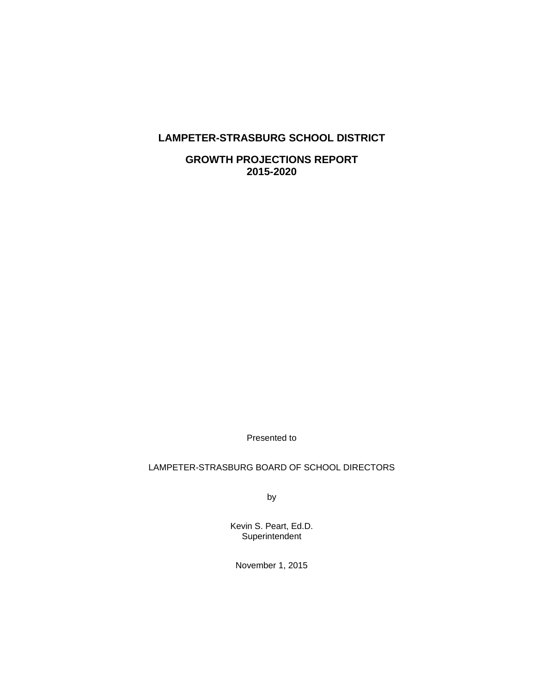# **LAMPETER-STRASBURG SCHOOL DISTRICT**

**GROWTH PROJECTIONS REPORT 2015-2020** 

Presented to

## LAMPETER-STRASBURG BOARD OF SCHOOL DIRECTORS

by

Kevin S. Peart, Ed.D. **Superintendent** 

November 1, 2015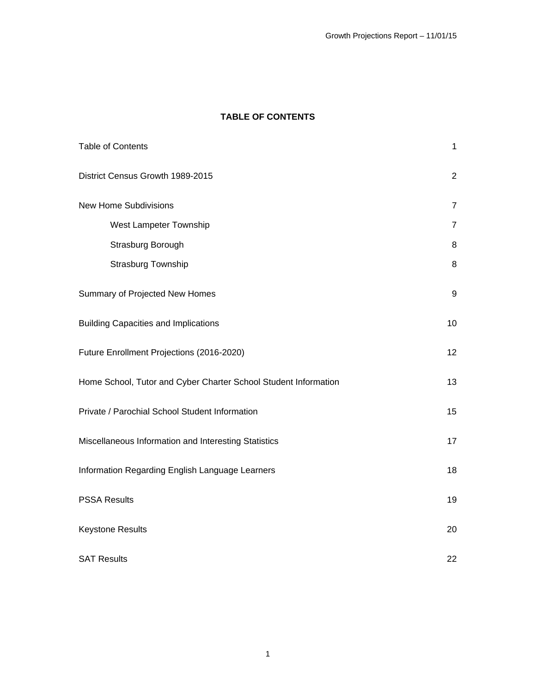# **TABLE OF CONTENTS**

| <b>Table of Contents</b>                                        | $\mathbf{1}$   |
|-----------------------------------------------------------------|----------------|
| District Census Growth 1989-2015                                | $\overline{2}$ |
| <b>New Home Subdivisions</b>                                    | $\overline{7}$ |
| West Lampeter Township                                          | $\overline{7}$ |
| Strasburg Borough                                               | 8              |
| Strasburg Township                                              | $\, 8$         |
| Summary of Projected New Homes                                  | 9              |
| <b>Building Capacities and Implications</b>                     | 10             |
| Future Enrollment Projections (2016-2020)                       | 12             |
| Home School, Tutor and Cyber Charter School Student Information | 13             |
| Private / Parochial School Student Information                  | 15             |
| Miscellaneous Information and Interesting Statistics            | 17             |
| Information Regarding English Language Learners                 | 18             |
| <b>PSSA Results</b>                                             | 19             |
| Keystone Results                                                | 20             |
| <b>SAT Results</b>                                              | 22             |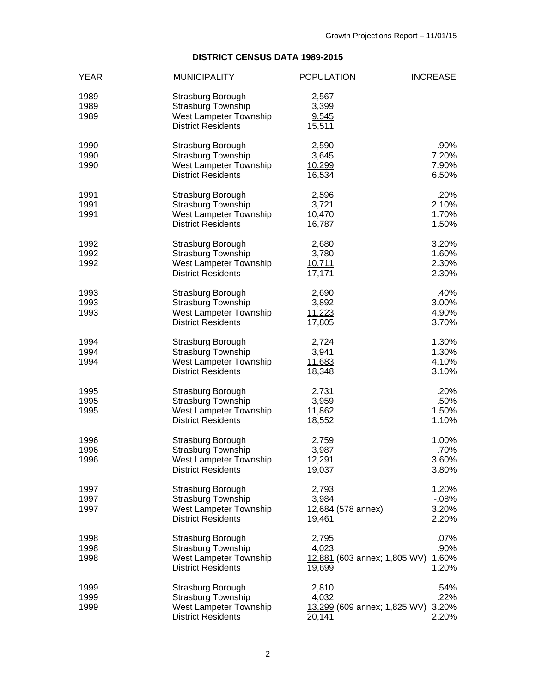# **DISTRICT CENSUS DATA 1989-2015**

| <b>YEAR</b> | <b>MUNICIPALITY</b>       | <b>POPULATION</b>            | <b>INCREASE</b> |
|-------------|---------------------------|------------------------------|-----------------|
|             |                           |                              |                 |
| 1989        | Strasburg Borough         | 2,567                        |                 |
| 1989        | <b>Strasburg Township</b> | 3,399                        |                 |
| 1989        | West Lampeter Township    | 9,545                        |                 |
|             | <b>District Residents</b> | 15,511                       |                 |
| 1990        | Strasburg Borough         | 2,590                        | .90%            |
| 1990        | <b>Strasburg Township</b> | 3,645                        | 7.20%           |
| 1990        | West Lampeter Township    | 10,299                       | 7.90%           |
|             | <b>District Residents</b> | 16,534                       | 6.50%           |
| 1991        | Strasburg Borough         | 2,596                        | .20%            |
| 1991        | <b>Strasburg Township</b> | 3,721                        | 2.10%           |
| 1991        | West Lampeter Township    | 10,470                       | 1.70%           |
|             | <b>District Residents</b> | 16,787                       | 1.50%           |
|             |                           |                              |                 |
| 1992        | Strasburg Borough         | 2,680                        | 3.20%           |
| 1992        | <b>Strasburg Township</b> | 3,780                        | 1.60%           |
| 1992        | West Lampeter Township    | 10,711                       | 2.30%           |
|             | <b>District Residents</b> | 17,171                       | 2.30%           |
| 1993        | Strasburg Borough         | 2,690                        | .40%            |
| 1993        | <b>Strasburg Township</b> | 3,892                        | 3.00%           |
| 1993        | West Lampeter Township    | 11,223                       | 4.90%           |
|             | <b>District Residents</b> | 17,805                       | 3.70%           |
| 1994        | Strasburg Borough         | 2,724                        | 1.30%           |
| 1994        | <b>Strasburg Township</b> | 3,941                        | 1.30%           |
| 1994        | West Lampeter Township    | 11,683                       | 4.10%           |
|             | <b>District Residents</b> | 18,348                       | 3.10%           |
|             |                           |                              |                 |
| 1995        | Strasburg Borough         | 2,731                        | .20%            |
| 1995        | <b>Strasburg Township</b> | 3,959                        | .50%            |
| 1995        | West Lampeter Township    | 11,862                       | 1.50%           |
|             | <b>District Residents</b> | 18,552                       | 1.10%           |
| 1996        | Strasburg Borough         | 2,759                        | 1.00%           |
| 1996        | <b>Strasburg Township</b> | 3,987                        | .70%            |
| 1996        | West Lampeter Township    | 12,291                       | 3.60%           |
|             | <b>District Residents</b> | 19,037                       | 3.80%           |
| 1997        | Strasburg Borough         | 2,793                        | 1.20%           |
| 1997        | <b>Strasburg Township</b> | 3,984                        | $-08%$          |
| 1997        | West Lampeter Township    | 12,684 (578 annex)           | 3.20%           |
|             | <b>District Residents</b> | 19,461                       | 2.20%           |
| 1998        | Strasburg Borough         | 2,795                        | $.07\%$         |
| 1998        | <b>Strasburg Township</b> | 4,023                        | .90%            |
| 1998        | West Lampeter Township    |                              | 1.60%           |
|             |                           | 12,881 (603 annex; 1,805 WV) |                 |
|             | <b>District Residents</b> | 19,699                       | 1.20%           |
| 1999        | Strasburg Borough         | 2,810                        | .54%            |
| 1999        | Strasburg Township        | 4,032                        | .22%            |
| 1999        | West Lampeter Township    | 13,299 (609 annex; 1,825 WV) | 3.20%           |
|             | <b>District Residents</b> | 20,141                       | 2.20%           |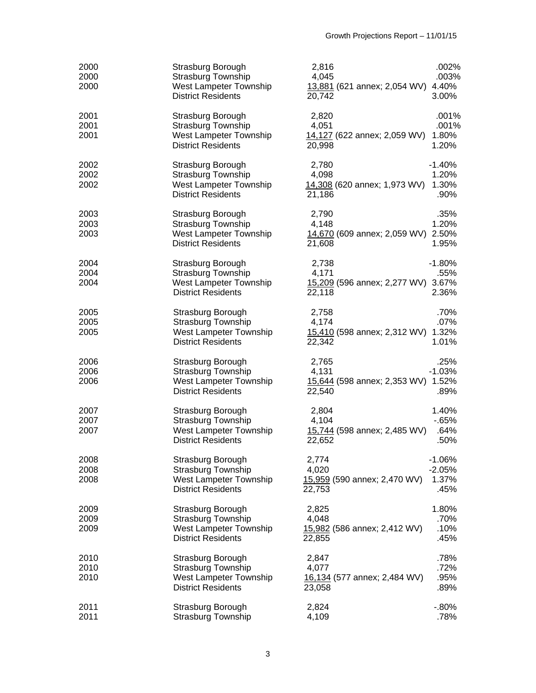| 2000<br>2000<br>2000 | Strasburg Borough<br><b>Strasburg Township</b><br>West Lampeter Township<br><b>District Residents</b> | 2,816<br>4,045<br>13,881 (621 annex; 2,054 WV) 4.40%<br>20,742 | .002%<br>.003%<br>3.00%               |
|----------------------|-------------------------------------------------------------------------------------------------------|----------------------------------------------------------------|---------------------------------------|
| 2001<br>2001<br>2001 | Strasburg Borough<br><b>Strasburg Township</b><br>West Lampeter Township<br><b>District Residents</b> | 2,820<br>4,051<br>14,127 (622 annex; 2,059 WV)<br>20,998       | .001%<br>.001%<br>1.80%<br>1.20%      |
| 2002<br>2002<br>2002 | Strasburg Borough<br><b>Strasburg Township</b><br>West Lampeter Township<br><b>District Residents</b> | 2,780<br>4,098<br>14,308 (620 annex; 1,973 WV)<br>21,186       | $-1.40%$<br>1.20%<br>1.30%<br>.90%    |
| 2003<br>2003<br>2003 | Strasburg Borough<br><b>Strasburg Township</b><br>West Lampeter Township<br><b>District Residents</b> | 2,790<br>4,148<br>14,670 (609 annex; 2,059 WV) 2.50%<br>21,608 | .35%<br>1.20%<br>1.95%                |
| 2004<br>2004<br>2004 | Strasburg Borough<br><b>Strasburg Township</b><br>West Lampeter Township<br><b>District Residents</b> | 2,738<br>4,171<br>15,209 (596 annex; 2,277 WV) 3.67%<br>22,118 | $-1.80%$<br>.55%<br>2.36%             |
| 2005<br>2005<br>2005 | Strasburg Borough<br><b>Strasburg Township</b><br>West Lampeter Township<br><b>District Residents</b> | 2,758<br>4,174<br>15,410 (598 annex; 2,312 WV) 1.32%<br>22,342 | .70%<br>.07%<br>1.01%                 |
| 2006<br>2006<br>2006 | Strasburg Borough<br>Strasburg Township<br>West Lampeter Township<br><b>District Residents</b>        | 2,765<br>4,131<br>15,644 (598 annex; 2,353 WV) 1.52%<br>22,540 | .25%<br>$-1.03%$<br>.89%              |
| 2007<br>2007<br>2007 | Strasburg Borough<br>Strasburg Township<br>West Lampeter Township<br><b>District Residents</b>        | 2,804<br>4,104<br>15,744 (598 annex; 2,485 WV)<br>22,652       | 1.40%<br>$-65%$<br>.64%<br>.50%       |
| 2008<br>2008<br>2008 | Strasburg Borough<br><b>Strasburg Township</b><br>West Lampeter Township<br><b>District Residents</b> | 2,774<br>4,020<br>15,959 (590 annex; 2,470 WV)<br>22,753       | $-1.06%$<br>$-2.05%$<br>1.37%<br>.45% |
| 2009<br>2009<br>2009 | Strasburg Borough<br><b>Strasburg Township</b><br>West Lampeter Township<br><b>District Residents</b> | 2,825<br>4,048<br>15,982 (586 annex; 2,412 WV)<br>22,855       | 1.80%<br>.70%<br>.10%<br>.45%         |
| 2010<br>2010<br>2010 | Strasburg Borough<br><b>Strasburg Township</b><br>West Lampeter Township<br><b>District Residents</b> | 2,847<br>4,077<br>16,134 (577 annex; 2,484 WV)<br>23,058       | .78%<br>.72%<br>.95%<br>.89%          |
| 2011<br>2011         | Strasburg Borough<br>Strasburg Township                                                               | 2,824<br>4,109                                                 | $-0.80%$<br>.78%                      |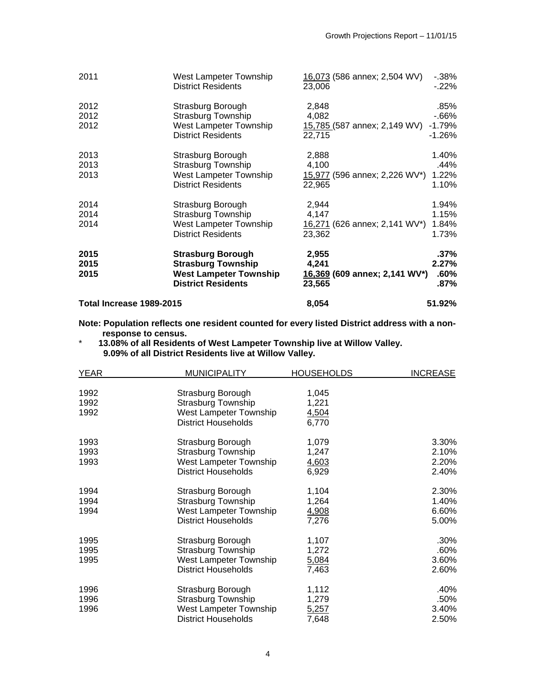| Total Increase 1989-2015     |                                                                                                                            | 8,054                                                              | 51.92%                                   |
|------------------------------|----------------------------------------------------------------------------------------------------------------------------|--------------------------------------------------------------------|------------------------------------------|
| 2015<br>2015<br>2015         | <b>Strasburg Borough</b><br><b>Strasburg Township</b><br><b>West Lampeter Township</b><br><b>District Residents</b>        | 2,955<br>4,241<br>16,369 (609 annex; 2,141 WV*)<br>23,565          | $.37\%$<br>2.27%<br>$.60\%$<br>$.87\%$   |
| 2014<br>2014                 | <b>Strasburg Township</b><br>West Lampeter Township<br><b>District Residents</b>                                           | 4,147<br>16,271 (626 annex; 2,141 WV*)<br>23,362                   | 1.15%<br>1.84%<br>1.73%                  |
| 2013<br>2013<br>2013<br>2014 | Strasburg Borough<br><b>Strasburg Township</b><br>West Lampeter Township<br><b>District Residents</b><br>Strasburg Borough | 2,888<br>4,100<br>15,977 (596 annex; 2,226 WV*)<br>22,965<br>2,944 | 1.40%<br>.44%<br>1.22%<br>1.10%<br>1.94% |
| 2012<br>2012<br>2012         | Strasburg Borough<br><b>Strasburg Township</b><br>West Lampeter Township<br><b>District Residents</b>                      | 2,848<br>4,082<br>15,785 (587 annex; 2,149 WV)<br>22,715           | .85%<br>$-66%$<br>$-1.79%$<br>$-1.26%$   |
| 2011                         | West Lampeter Township<br><b>District Residents</b>                                                                        | 16,073 (586 annex; 2,504 WV)<br>23,006                             | $-0.38%$<br>$-22\%$                      |

**Note: Population reflects one resident counted for every listed District address with a nonresponse to census.** 

\* **13.08% of all Residents of West Lampeter Township live at Willow Valley. 9.09% of all District Residents live at Willow Valley.** 

| <b>YEAR</b> | <b>MUNICIPALITY</b>        | <b>HOUSEHOLDS</b> | <b>INCREASE</b> |
|-------------|----------------------------|-------------------|-----------------|
|             |                            |                   |                 |
| 1992        | Strasburg Borough          | 1,045             |                 |
| 1992        | <b>Strasburg Township</b>  | 1,221             |                 |
| 1992        | West Lampeter Township     | 4,504             |                 |
|             | <b>District Households</b> | 6,770             |                 |
| 1993        | Strasburg Borough          | 1,079             | 3.30%           |
| 1993        | <b>Strasburg Township</b>  | 1,247             | 2.10%           |
| 1993        | West Lampeter Township     | 4,603             | 2.20%           |
|             | <b>District Households</b> | 6,929             | 2.40%           |
| 1994        | Strasburg Borough          | 1,104             | 2.30%           |
| 1994        | Strasburg Township         | 1,264             | 1.40%           |
| 1994        | West Lampeter Township     | 4,908             | 6.60%           |
|             | <b>District Households</b> | 7,276             | 5.00%           |
| 1995        | Strasburg Borough          | 1,107             | .30%            |
| 1995        | <b>Strasburg Township</b>  | 1,272             | .60%            |
| 1995        | West Lampeter Township     | 5,084             | 3.60%           |
|             | <b>District Households</b> | 7,463             | 2.60%           |
| 1996        | Strasburg Borough          | 1,112             | .40%            |
| 1996        | <b>Strasburg Township</b>  | 1,279             | .50%            |
| 1996        | West Lampeter Township     | 5,257             | 3.40%           |
|             | <b>District Households</b> | 7,648             | 2.50%           |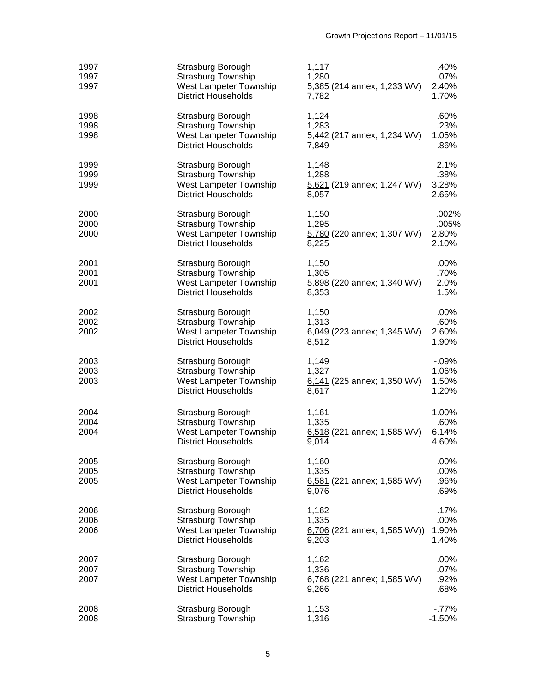| 1997<br>1997<br>1997 | Strasburg Borough<br>Strasburg Township<br>West Lampeter Township<br><b>District Households</b>        | 1,117<br>1,280<br>5,385 (214 annex; 1,233 WV)<br>7,782    | .40%<br>$.07\%$<br>2.40%<br>1.70%   |
|----------------------|--------------------------------------------------------------------------------------------------------|-----------------------------------------------------------|-------------------------------------|
| 1998<br>1998<br>1998 | Strasburg Borough<br><b>Strasburg Township</b><br>West Lampeter Township<br><b>District Households</b> | 1,124<br>1,283<br>5,442 (217 annex; 1,234 WV)<br>7,849    | .60%<br>.23%<br>1.05%<br>.86%       |
| 1999<br>1999<br>1999 | Strasburg Borough<br><b>Strasburg Township</b><br>West Lampeter Township<br><b>District Households</b> | 1,148<br>1,288<br>5,621 (219 annex; 1,247 WV)<br>8,057    | 2.1%<br>.38%<br>3.28%<br>2.65%      |
| 2000<br>2000<br>2000 | Strasburg Borough<br>Strasburg Township<br>West Lampeter Township<br><b>District Households</b>        | 1,150<br>1,295<br>5,780 (220 annex; 1,307 WV)<br>8,225    | .002%<br>.005%<br>2.80%<br>2.10%    |
| 2001<br>2001<br>2001 | Strasburg Borough<br><b>Strasburg Township</b><br>West Lampeter Township<br><b>District Households</b> | 1,150<br>1,305<br>5,898 (220 annex; 1,340 WV)<br>8,353    | .00%<br>.70%<br>2.0%<br>1.5%        |
| 2002<br>2002<br>2002 | Strasburg Borough<br><b>Strasburg Township</b><br>West Lampeter Township<br><b>District Households</b> | 1,150<br>1,313<br>6,049 (223 annex; 1,345 WV)<br>8,512    | .00%<br>.60%<br>2.60%<br>1.90%      |
| 2003<br>2003<br>2003 | Strasburg Borough<br>Strasburg Township<br>West Lampeter Township<br><b>District Households</b>        | 1,149<br>1,327<br>6,141 (225 annex; 1,350 WV)<br>8,617    | $-0.09%$<br>1.06%<br>1.50%<br>1.20% |
| 2004<br>2004<br>2004 | Strasburg Borough<br>Strasburg Township<br>West Lampeter Township<br><b>District Households</b>        | 1,161<br>1,335<br>$6,518$ (221 annex; 1,585 WV)<br>9,014  | 1.00%<br>.60%<br>6.14%<br>4.60%     |
| 2005<br>2005<br>2005 | Strasburg Borough<br>Strasburg Township<br>West Lampeter Township<br><b>District Households</b>        | 1,160<br>1,335<br>$6,581$ (221 annex; 1,585 WV)<br>9,076  | .00%<br>.00%<br>.96%<br>.69%        |
| 2006<br>2006<br>2006 | Strasburg Borough<br><b>Strasburg Township</b><br>West Lampeter Township<br><b>District Households</b> | 1,162<br>1,335<br>$6,706$ (221 annex; 1,585 WV))<br>9,203 | .17%<br>.00%<br>1.90%<br>1.40%      |
| 2007<br>2007<br>2007 | Strasburg Borough<br><b>Strasburg Township</b><br>West Lampeter Township<br><b>District Households</b> | 1,162<br>1,336<br>6,768 (221 annex; 1,585 WV)<br>9,266    | .00%<br>.07%<br>.92%<br>.68%        |
| 2008<br>2008         | Strasburg Borough<br>Strasburg Township                                                                | 1,153<br>1,316                                            | $-77%$<br>$-1.50%$                  |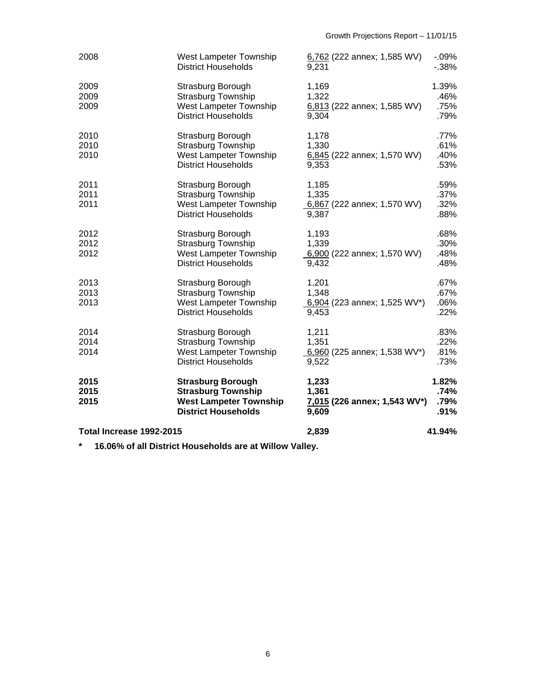| Total Increase 1992-2015 |                                                                                                                      | 2,839                                                   | 41.94%                        |
|--------------------------|----------------------------------------------------------------------------------------------------------------------|---------------------------------------------------------|-------------------------------|
| 2015<br>2015<br>2015     | <b>Strasburg Borough</b><br><b>Strasburg Township</b><br><b>West Lampeter Township</b><br><b>District Households</b> | 1,233<br>1,361<br>7,015 (226 annex; 1,543 WV*)<br>9,609 | 1.82%<br>.74%<br>.79%<br>.91% |
| 2014<br>2014<br>2014     | Strasburg Borough<br><b>Strasburg Township</b><br>West Lampeter Township<br><b>District Households</b>               | 1,211<br>1,351<br>6,960 (225 annex; 1,538 WV*)<br>9,522 | .83%<br>.22%<br>.81%<br>.73%  |
| 2013<br>2013<br>2013     | Strasburg Borough<br><b>Strasburg Township</b><br>West Lampeter Township<br><b>District Households</b>               | 1,201<br>1,348<br>6,904 (223 annex; 1,525 WV*)<br>9,453 | .67%<br>.67%<br>.06%<br>.22%  |
| 2012<br>2012<br>2012     | Strasburg Borough<br><b>Strasburg Township</b><br>West Lampeter Township<br><b>District Households</b>               | 1,193<br>1,339<br>6,900 (222 annex; 1,570 WV)<br>9,432  | .68%<br>.30%<br>.48%<br>.48%  |
| 2011<br>2011<br>2011     | Strasburg Borough<br>Strasburg Township<br>West Lampeter Township<br><b>District Households</b>                      | 1,185<br>1,335<br>6,867 (222 annex; 1,570 WV)<br>9,387  | .59%<br>.37%<br>.32%<br>.88%  |
| 2010<br>2010<br>2010     | Strasburg Borough<br><b>Strasburg Township</b><br>West Lampeter Township<br><b>District Households</b>               | 1,178<br>1,330<br>6,845 (222 annex; 1,570 WV)<br>9,353  | .77%<br>.61%<br>.40%<br>.53%  |
| 2009<br>2009<br>2009     | Strasburg Borough<br><b>Strasburg Township</b><br>West Lampeter Township<br><b>District Households</b>               | 1,169<br>1,322<br>6,813 (222 annex; 1,585 WV)<br>9,304  | 1.39%<br>.46%<br>.75%<br>.79% |
| 2008                     | West Lampeter Township<br><b>District Households</b>                                                                 | 6,762 (222 annex; 1,585 WV)<br>9.231                    | $-0.09%$<br>$-38%$            |

**\* 16.06% of all District Households are at Willow Valley.**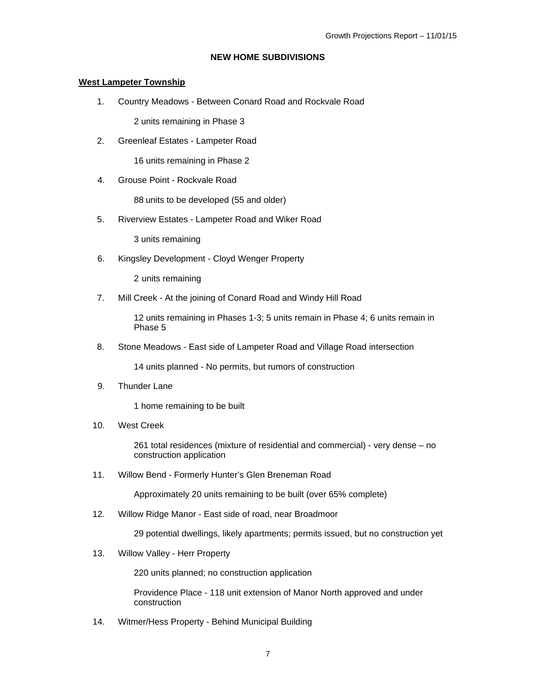### **NEW HOME SUBDIVISIONS**

#### **West Lampeter Township**

1. Country Meadows - Between Conard Road and Rockvale Road

2 units remaining in Phase 3

2. Greenleaf Estates - Lampeter Road

16 units remaining in Phase 2

4. Grouse Point - Rockvale Road

88 units to be developed (55 and older)

5. Riverview Estates - Lampeter Road and Wiker Road

3 units remaining

6. Kingsley Development - Cloyd Wenger Property

2 units remaining

7. Mill Creek - At the joining of Conard Road and Windy Hill Road

12 units remaining in Phases 1-3; 5 units remain in Phase 4; 6 units remain in Phase 5

8. Stone Meadows - East side of Lampeter Road and Village Road intersection

14 units planned - No permits, but rumors of construction

9. Thunder Lane

1 home remaining to be built

10. West Creek

261 total residences (mixture of residential and commercial) - very dense – no construction application

11. Willow Bend - Formerly Hunter's Glen Breneman Road

Approximately 20 units remaining to be built (over 65% complete)

12. Willow Ridge Manor - East side of road, near Broadmoor

29 potential dwellings, likely apartments; permits issued, but no construction yet

13. Willow Valley - Herr Property

220 units planned; no construction application

Providence Place - 118 unit extension of Manor North approved and under construction

14. Witmer/Hess Property - Behind Municipal Building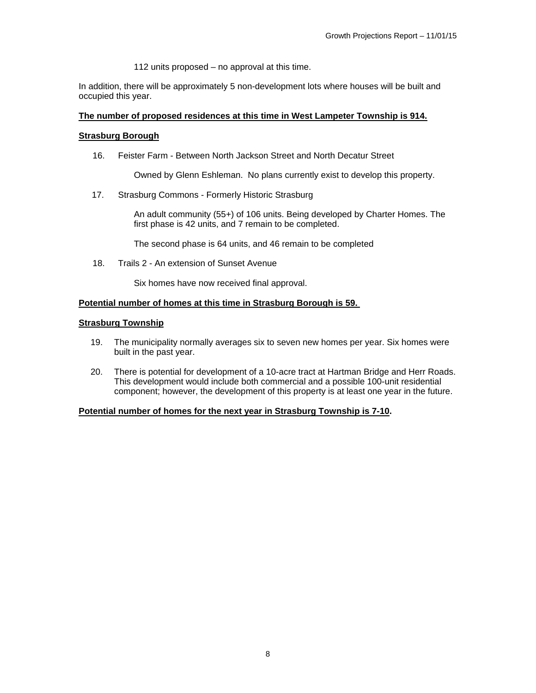112 units proposed – no approval at this time.

In addition, there will be approximately 5 non-development lots where houses will be built and occupied this year.

#### **The number of proposed residences at this time in West Lampeter Township is 914.**

#### **Strasburg Borough**

16. Feister Farm - Between North Jackson Street and North Decatur Street

Owned by Glenn Eshleman. No plans currently exist to develop this property.

17. Strasburg Commons - Formerly Historic Strasburg

An adult community (55+) of 106 units. Being developed by Charter Homes. The first phase is 42 units, and 7 remain to be completed.

The second phase is 64 units, and 46 remain to be completed

18. Trails 2 - An extension of Sunset Avenue

Six homes have now received final approval.

### **Potential number of homes at this time in Strasburg Borough is 59.**

### **Strasburg Township**

- 19. The municipality normally averages six to seven new homes per year. Six homes were built in the past year.
- 20. There is potential for development of a 10-acre tract at Hartman Bridge and Herr Roads. This development would include both commercial and a possible 100-unit residential component; however, the development of this property is at least one year in the future.

#### **Potential number of homes for the next year in Strasburg Township is 7-10.**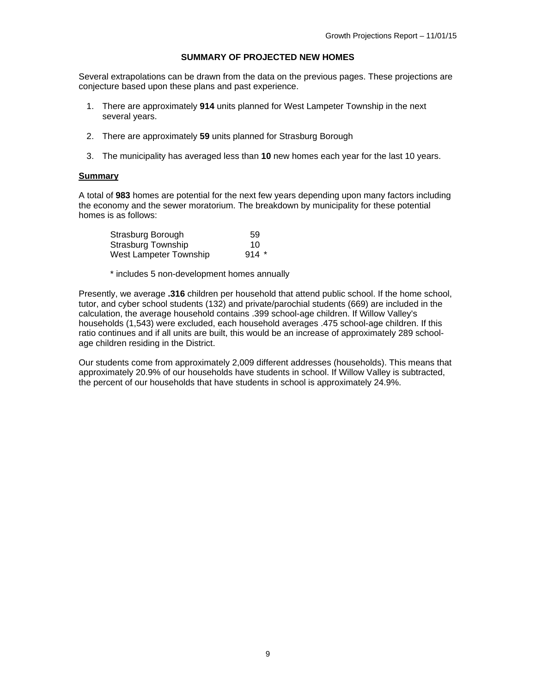### **SUMMARY OF PROJECTED NEW HOMES**

Several extrapolations can be drawn from the data on the previous pages. These projections are conjecture based upon these plans and past experience.

- 1. There are approximately **914** units planned for West Lampeter Township in the next several years.
- 2. There are approximately **59** units planned for Strasburg Borough
- 3. The municipality has averaged less than **10** new homes each year for the last 10 years.

#### **Summary**

A total of **983** homes are potential for the next few years depending upon many factors including the economy and the sewer moratorium. The breakdown by municipality for these potential homes is as follows:

| Strasburg Borough         | 59     |
|---------------------------|--------|
| <b>Strasburg Township</b> | 10     |
| West Lampeter Township    | $914*$ |

\* includes 5 non-development homes annually

Presently, we average **.316** children per household that attend public school. If the home school, tutor, and cyber school students (132) and private/parochial students (669) are included in the calculation, the average household contains .399 school-age children. If Willow Valley's households (1,543) were excluded, each household averages .475 school-age children. If this ratio continues and if all units are built, this would be an increase of approximately 289 schoolage children residing in the District.

Our students come from approximately 2,009 different addresses (households). This means that approximately 20.9% of our households have students in school. If Willow Valley is subtracted, the percent of our households that have students in school is approximately 24.9%.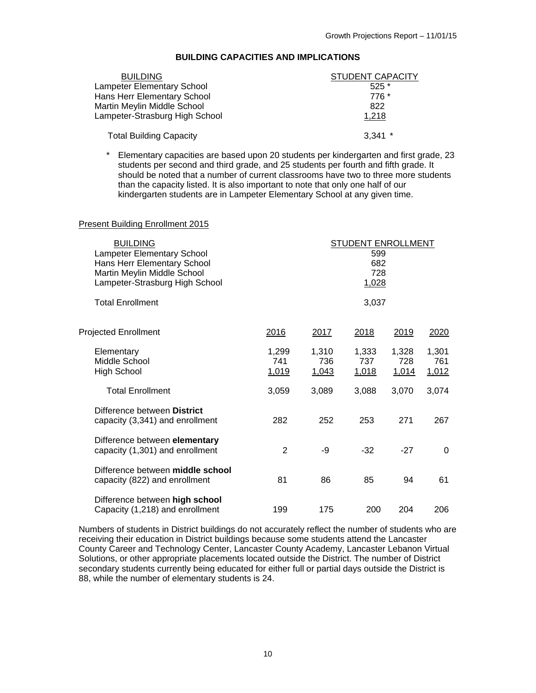| BUILDING CAPACITIES AND IMPLICATIONS |  |
|--------------------------------------|--|
|--------------------------------------|--|

| <b>BUILDING</b>                   | STUDENT CAPACITY |
|-----------------------------------|------------------|
| <b>Lampeter Elementary School</b> | $525*$           |
| Hans Herr Elementary School       | 776 *            |
| Martin Meylin Middle School       | 822              |
| Lampeter-Strasburg High School    | 1,218            |
| <b>Total Building Capacity</b>    | $3,341$ *        |

\* Elementary capacities are based upon 20 students per kindergarten and first grade, 23 students per second and third grade, and 25 students per fourth and fifth grade. It should be noted that a number of current classrooms have two to three more students than the capacity listed. It is also important to note that only one half of our kindergarten students are in Lampeter Elementary School at any given time.

#### Present Building Enrollment 2015

| <b>BUILDING</b><br><b>Lampeter Elementary School</b><br>Hans Herr Elementary School<br>Martin Meylin Middle School<br>Lampeter-Strasburg High School |                       |                       | <b>STUDENT ENROLLMENT</b><br>599<br>682<br>728<br><u>1,028</u> |                       |                       |
|------------------------------------------------------------------------------------------------------------------------------------------------------|-----------------------|-----------------------|----------------------------------------------------------------|-----------------------|-----------------------|
| <b>Total Enrollment</b>                                                                                                                              |                       |                       | 3,037                                                          |                       |                       |
| <b>Projected Enrollment</b>                                                                                                                          | <u>2016</u>           | 2017                  | 2018                                                           | <u>2019</u>           | 2020                  |
| Elementary<br>Middle School<br><b>High School</b>                                                                                                    | 1,299<br>741<br>1,019 | 1,310<br>736<br>1,043 | 1,333<br>737<br>1,018                                          | 1,328<br>728<br>1,014 | 1,301<br>761<br>1,012 |
| <b>Total Enrollment</b>                                                                                                                              | 3,059                 | 3,089                 | 3,088                                                          | 3,070                 | 3,074                 |
| Difference between District<br>capacity (3,341) and enrollment                                                                                       | 282                   | 252                   | 253                                                            | 271                   | 267                   |
| Difference between elementary<br>capacity (1,301) and enrollment                                                                                     | 2                     | -9                    | $-32$                                                          | $-27$                 | 0                     |
| Difference between middle school<br>capacity (822) and enrollment                                                                                    | 81                    | 86                    | 85                                                             | 94                    | 61                    |
| Difference between high school<br>Capacity (1,218) and enrollment                                                                                    | 199                   | 175                   | 200                                                            | 204                   | 206                   |

Numbers of students in District buildings do not accurately reflect the number of students who are receiving their education in District buildings because some students attend the Lancaster County Career and Technology Center, Lancaster County Academy, Lancaster Lebanon Virtual Solutions, or other appropriate placements located outside the District. The number of District secondary students currently being educated for either full or partial days outside the District is 88, while the number of elementary students is 24.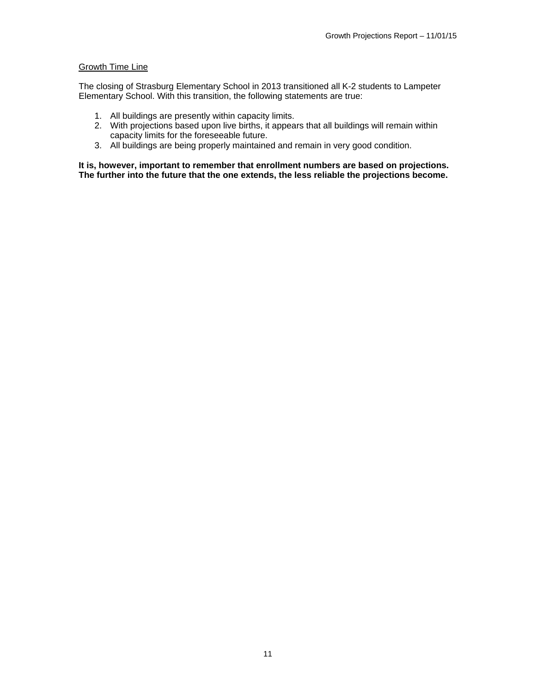### **Growth Time Line**

The closing of Strasburg Elementary School in 2013 transitioned all K-2 students to Lampeter Elementary School. With this transition, the following statements are true:

- 1. All buildings are presently within capacity limits.
- 2. With projections based upon live births, it appears that all buildings will remain within capacity limits for the foreseeable future.
- 3. All buildings are being properly maintained and remain in very good condition.

**It is, however, important to remember that enrollment numbers are based on projections. The further into the future that the one extends, the less reliable the projections become.**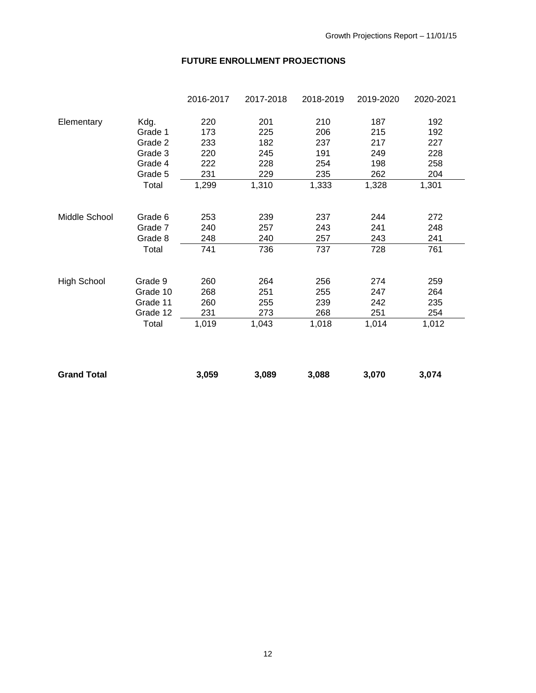## **FUTURE ENROLLMENT PROJECTIONS**

|          | 2016-2017 | 2017-2018 | 2018-2019 | 2019-2020 | 2020-2021 |
|----------|-----------|-----------|-----------|-----------|-----------|
| Kdg.     | 220       | 201       | 210       | 187       | 192       |
| Grade 1  | 173       | 225       | 206       | 215       | 192       |
| Grade 2  | 233       | 182       | 237       | 217       | 227       |
| Grade 3  | 220       | 245       | 191       | 249       | 228       |
| Grade 4  | 222       | 228       | 254       | 198       | 258       |
| Grade 5  | 231       | 229       | 235       | 262       | 204       |
| Total    | 1,299     | 1,310     | 1,333     | 1,328     | 1,301     |
| Grade 6  | 253       | 239       | 237       | 244       | 272       |
| Grade 7  | 240       | 257       | 243       | 241       | 248       |
| Grade 8  | 248       | 240       | 257       | 243       | 241       |
| Total    | 741       | 736       | 737       | 728       | 761       |
| Grade 9  | 260       | 264       | 256       | 274       | 259       |
| Grade 10 | 268       | 251       | 255       | 247       | 264       |
| Grade 11 | 260       | 255       | 239       | 242       | 235       |
| Grade 12 | 231       | 273       | 268       | 251       | 254       |
| Total    | 1,019     | 1,043     | 1,018     | 1,014     | 1,012     |
|          |           |           |           |           |           |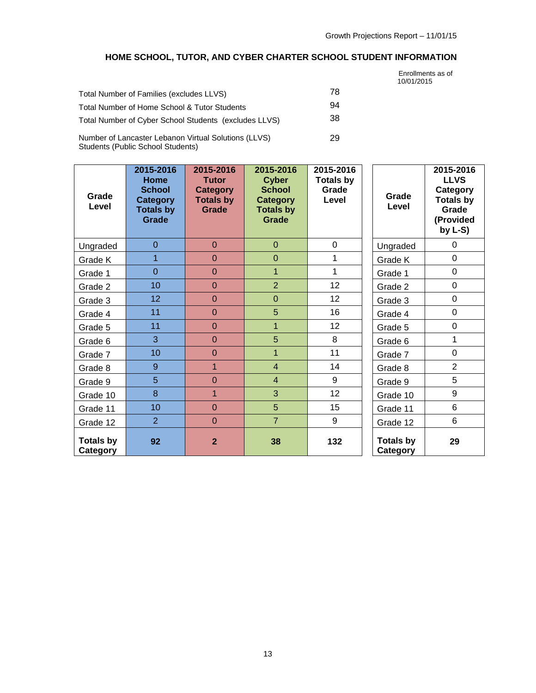# **HOME SCHOOL, TUTOR, AND CYBER CHARTER SCHOOL STUDENT INFORMATION**

|                                                       |    | Enrollments as of<br>10/01/2015 |
|-------------------------------------------------------|----|---------------------------------|
| Total Number of Families (excludes LLVS)              | 78 |                                 |
| Total Number of Home School & Tutor Students          | 94 |                                 |
| Total Number of Cyber School Students (excludes LLVS) | 38 |                                 |
| Number of Lancaster Lebanon Virtual Solutions (LLVS)  | 29 |                                 |

Number of Lancaster Lebanon Virtual Solutions (LLVS) Students (Public School Students)

| Grade<br>Level               | 2015-2016<br>Home<br><b>School</b><br>Category<br><b>Totals by</b><br>Grade | 2015-2016<br><b>Tutor</b><br><b>Category</b><br><b>Totals by</b><br>Grade | 2015-2016<br><b>Cyber</b><br><b>School</b><br><b>Category</b><br><b>Totals by</b><br>Grade | 2015-2016<br><b>Totals by</b><br>Grade<br>Level | Grade<br>Level               | 2015-2016<br><b>LLVS</b><br>Category<br><b>Totals by</b><br>Grade<br>(Provided<br>by $L-S$ ) |
|------------------------------|-----------------------------------------------------------------------------|---------------------------------------------------------------------------|--------------------------------------------------------------------------------------------|-------------------------------------------------|------------------------------|----------------------------------------------------------------------------------------------|
| Ungraded                     | $\overline{0}$                                                              | $\mathbf{0}$                                                              | $\mathbf{0}$                                                                               | 0                                               | Ungraded                     | 0                                                                                            |
| Grade K                      | $\overline{1}$                                                              | $\overline{0}$                                                            | $\overline{0}$                                                                             | 1                                               | Grade K                      | $\overline{0}$                                                                               |
| Grade 1                      | $\overline{0}$                                                              | $\overline{0}$                                                            | $\mathbf{1}$                                                                               | 1                                               | Grade 1                      | $\mathbf 0$                                                                                  |
| Grade 2                      | 10                                                                          | $\overline{0}$                                                            | $\overline{2}$                                                                             | 12                                              | Grade 2                      | $\mathbf 0$                                                                                  |
| Grade 3                      | 12                                                                          | $\overline{0}$                                                            | $\overline{0}$                                                                             | 12                                              | Grade 3                      | $\overline{0}$                                                                               |
| Grade 4                      | 11                                                                          | $\overline{0}$                                                            | 5                                                                                          | 16                                              | Grade 4                      | $\mathbf 0$                                                                                  |
| Grade 5                      | 11                                                                          | $\overline{0}$                                                            | $\mathbf{1}$                                                                               | 12 <sub>2</sub>                                 | Grade 5                      | $\mathbf 0$                                                                                  |
| Grade 6                      | 3                                                                           | $\overline{0}$                                                            | 5                                                                                          | 8                                               | Grade 6                      | 1                                                                                            |
| Grade 7                      | 10 <sup>1</sup>                                                             | $\overline{0}$                                                            | $\overline{1}$                                                                             | 11                                              | Grade 7                      | $\overline{0}$                                                                               |
| Grade 8                      | 9                                                                           | $\mathbf{1}$                                                              | $\overline{4}$                                                                             | 14                                              | Grade 8                      | $\overline{2}$                                                                               |
| Grade 9                      | 5                                                                           | $\overline{0}$                                                            | $\overline{4}$                                                                             | 9                                               | Grade 9                      | 5                                                                                            |
| Grade 10                     | 8                                                                           | $\mathbf{1}$                                                              | 3                                                                                          | 12                                              | Grade 10                     | 9                                                                                            |
| Grade 11                     | 10                                                                          | $\overline{0}$                                                            | 5                                                                                          | 15                                              | Grade 11                     | 6                                                                                            |
| Grade 12                     | $\overline{2}$                                                              | $\overline{0}$                                                            | $\overline{7}$                                                                             | 9                                               | Grade 12                     | $6\phantom{1}$                                                                               |
| <b>Totals by</b><br>Category | 92                                                                          | $\overline{2}$                                                            | 38                                                                                         | 132                                             | <b>Totals by</b><br>Category | 29                                                                                           |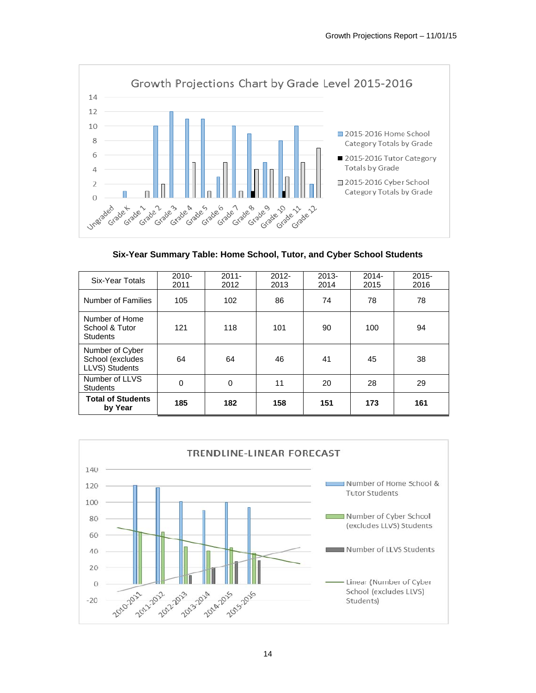

**Six-Year Summary Table: Home School, Tutor, and Cyber School Students** 

| Six-Year Totals                                       | $2010 -$<br>2011 | $2011 -$<br>2012 | $2012 -$<br>2013 | $2013 -$<br>2014 | $2014 -$<br>2015 | $2015 -$<br>2016 |
|-------------------------------------------------------|------------------|------------------|------------------|------------------|------------------|------------------|
| Number of Families                                    | 105              | 102              | 86               | 74               | 78               | 78               |
| Number of Home<br>School & Tutor<br><b>Students</b>   | 121              | 118              | 101              | 90               | 100              | 94               |
| Number of Cyber<br>School (excludes<br>LLVS) Students | 64               | 64               | 46               | 41               | 45               | 38               |
| Number of LLVS<br><b>Students</b>                     | $\Omega$         | 0                | 11               | 20               | 28               | 29               |
| <b>Total of Students</b><br>by Year                   | 185              | 182              | 158              | 151              | 173              | 161              |

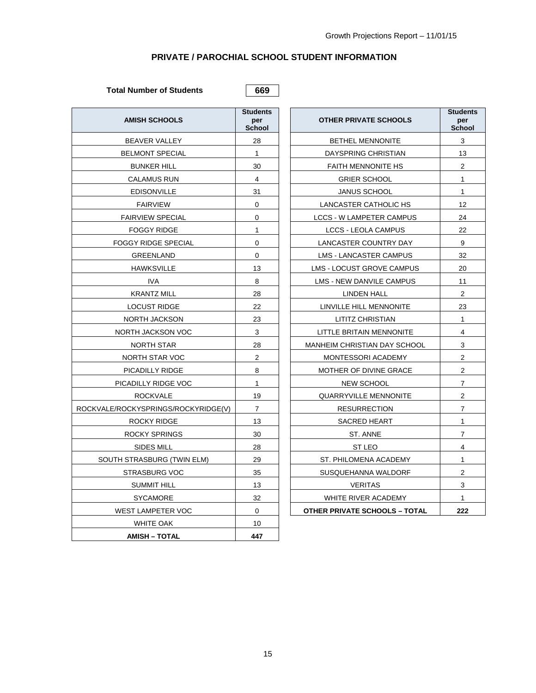## **PRIVATE / PAROCHIAL SCHOOL STUDENT INFORMATION**

# Total Number of Students **669**

| <b>AMISH SCHOOLS</b>                | <b>Students</b><br>per<br><b>School</b> | <b>OTHER PRIVATE SCHOOLS</b>         | <b>Stude</b><br>pe<br>Scho |
|-------------------------------------|-----------------------------------------|--------------------------------------|----------------------------|
| BEAVER VALLEY                       | 28                                      | <b>BETHEL MENNONITE</b>              | 3                          |
| <b>BELMONT SPECIAL</b>              | $\mathbf{1}$                            | DAYSPRING CHRISTIAN                  | 13                         |
| <b>BUNKER HILL</b>                  | 30                                      | <b>FAITH MENNONITE HS</b>            | $\overline{c}$             |
| <b>CALAMUS RUN</b>                  | 4                                       | <b>GRIER SCHOOL</b>                  | $\mathbf{1}$               |
| <b>EDISONVILLE</b>                  | 31                                      | <b>JANUS SCHOOL</b>                  | $\mathbf{1}$               |
| <b>FAIRVIEW</b>                     | $\mathbf 0$                             | LANCASTER CATHOLIC HS                | 12                         |
| <b>FAIRVIEW SPECIAL</b>             | 0                                       | LCCS - W LAMPETER CAMPUS             | 24                         |
| <b>FOGGY RIDGE</b>                  | 1                                       | LCCS - LEOLA CAMPUS                  | 22                         |
| <b>FOGGY RIDGE SPECIAL</b>          | $\mathbf 0$                             | LANCASTER COUNTRY DAY                | 9                          |
| GREENLAND                           | $\Omega$                                | LMS - LANCASTER CAMPUS               | 32                         |
| <b>HAWKSVILLE</b>                   | 13                                      | LMS - LOCUST GROVE CAMPUS            | 20                         |
| <b>IVA</b>                          | 8                                       | LMS - NEW DANVILE CAMPUS             | 11                         |
| <b>KRANTZ MILL</b>                  | 28                                      | <b>LINDEN HALL</b>                   | $\overline{c}$             |
| <b>LOCUST RIDGE</b>                 | 22                                      | LINVILLE HILL MENNONITE              | 23                         |
| NORTH JACKSON                       | 23                                      | LITITZ CHRISTIAN                     | $\mathbf{1}$               |
| NORTH JACKSON VOC                   | 3                                       | LITTLE BRITAIN MENNONITE             | $\overline{4}$             |
| NORTH STAR                          | 28                                      | MANHEIM CHRISTIAN DAY SCHOOL         | 3                          |
| NORTH STAR VOC                      | $\overline{2}$                          | MONTESSORI ACADEMY                   | $\sqrt{2}$                 |
| PICADILLY RIDGE                     | 8                                       | MOTHER OF DIVINE GRACE               | $\overline{c}$             |
| PICADILLY RIDGE VOC                 | $\mathbf{1}$                            | NEW SCHOOL                           | $\overline{7}$             |
| <b>ROCKVALE</b>                     | 19                                      | <b>QUARRYVILLE MENNONITE</b>         | 2                          |
| ROCKVALE/ROCKYSPRINGS/ROCKYRIDGE(V) | $\overline{7}$                          | <b>RESURRECTION</b>                  | $\overline{7}$             |
| ROCKY RIDGE                         | 13                                      | <b>SACRED HEART</b>                  | $\mathbf{1}$               |
| <b>ROCKY SPRINGS</b>                | 30                                      | ST. ANNE                             | $\overline{7}$             |
| SIDES MILL                          | 28                                      | ST LEO                               | 4                          |
| SOUTH STRASBURG (TWIN ELM)          | 29                                      | ST. PHILOMENA ACADEMY                | $\mathbf{1}$               |
| <b>STRASBURG VOC</b>                | 35                                      | SUSQUEHANNA WALDORF                  | $\sqrt{2}$                 |
| <b>SUMMIT HILL</b>                  | 13                                      | <b>VERITAS</b>                       | 3                          |
| <b>SYCAMORE</b>                     | 32                                      | WHITE RIVER ACADEMY                  | $\mathbf{1}$               |
| WEST LAMPETER VOC                   | 0                                       | <b>OTHER PRIVATE SCHOOLS - TOTAL</b> | 222                        |
| <b>WHITE OAK</b>                    | 10                                      |                                      |                            |
| <b>AMISH - TOTAL</b>                | 447                                     |                                      |                            |

| <b>AMISH SCHOOLS</b>            | <b>Students</b><br>per<br><b>School</b> | <b>OTHER PRIVATE SCHOOLS</b>         | <b>Students</b><br>per<br><b>School</b> |
|---------------------------------|-----------------------------------------|--------------------------------------|-----------------------------------------|
| <b>BEAVER VALLEY</b>            | 28                                      | <b>BETHEL MENNONITE</b>              | 3                                       |
| <b>BELMONT SPECIAL</b>          | $\mathbf{1}$                            | DAYSPRING CHRISTIAN                  | 13                                      |
| <b>BUNKER HILL</b>              | 30                                      | <b>FAITH MENNONITE HS</b>            | $\overline{c}$                          |
| CALAMUS RUN                     | 4                                       | <b>GRIER SCHOOL</b>                  | 1                                       |
| <b>EDISONVILLE</b>              | 31                                      | <b>JANUS SCHOOL</b>                  | $\mathbf{1}$                            |
| <b>FAIRVIEW</b>                 | 0                                       | LANCASTER CATHOLIC HS                | 12                                      |
| <b>FAIRVIEW SPECIAL</b>         | 0                                       | <b>LCCS - W LAMPETER CAMPUS</b>      | 24                                      |
| <b>FOGGY RIDGE</b>              | $\mathbf{1}$                            | <b>LCCS - LEOLA CAMPUS</b>           | 22                                      |
| <b>FOGGY RIDGE SPECIAL</b>      | $\Omega$                                | LANCASTER COUNTRY DAY                | 9                                       |
| GREENLAND                       | 0                                       | LMS - LANCASTER CAMPUS               | 32                                      |
| <b>HAWKSVILLE</b>               | 13                                      | LMS - LOCUST GROVE CAMPUS            | 20                                      |
| IVA.                            | 8                                       | LMS - NEW DANVILE CAMPUS             | 11                                      |
| <b>KRANTZ MILL</b>              | 28                                      | <b>LINDEN HALL</b>                   | 2                                       |
| <b>LOCUST RIDGE</b>             | 22                                      | LINVILLE HILL MENNONITE              | 23                                      |
| NORTH JACKSON                   | 23                                      | LITITZ CHRISTIAN                     | $\mathbf{1}$                            |
| NORTH JACKSON VOC               | 3                                       | LITTLE BRITAIN MENNONITE             | 4                                       |
| NORTH STAR                      | 28                                      | <b>MANHEIM CHRISTIAN DAY SCHOOL</b>  | 3                                       |
| NORTH STAR VOC                  | 2                                       | MONTESSORI ACADEMY                   | $\overline{c}$                          |
| PICADILLY RIDGE                 | 8                                       | MOTHER OF DIVINE GRACE               | $\mathbf 2$                             |
| PICADILLY RIDGE VOC             | $\mathbf{1}$                            | <b>NEW SCHOOL</b>                    | $\overline{7}$                          |
| <b>ROCKVALE</b>                 | 19                                      | <b>QUARRYVILLE MENNONITE</b>         | $\overline{c}$                          |
| /ALE/ROCKYSPRINGS/ROCKYRIDGE(V) | $\overline{7}$                          | <b>RESURRECTION</b>                  | $\overline{7}$                          |
| ROCKY RIDGE                     | 13                                      | <b>SACRED HEART</b>                  | $\mathbf{1}$                            |
| <b>ROCKY SPRINGS</b>            | 30                                      | ST. ANNE                             | $\overline{7}$                          |
| SIDES MILL                      | 28                                      | ST LEO                               | $\overline{4}$                          |
| SOUTH STRASBURG (TWIN ELM)      | 29                                      | ST. PHILOMENA ACADEMY                | 1                                       |
| STRASBURG VOC                   | 35                                      | SUSQUEHANNA WALDORF                  | $\overline{2}$                          |
| <b>SUMMIT HILL</b>              | 13                                      | <b>VERITAS</b>                       | 3                                       |
| <b>SYCAMORE</b>                 | 32                                      | WHITE RIVER ACADEMY                  | $\mathbf{1}$                            |
| <b>WEST LAMPETER VOC</b>        | 0                                       | <b>OTHER PRIVATE SCHOOLS - TOTAL</b> | 222                                     |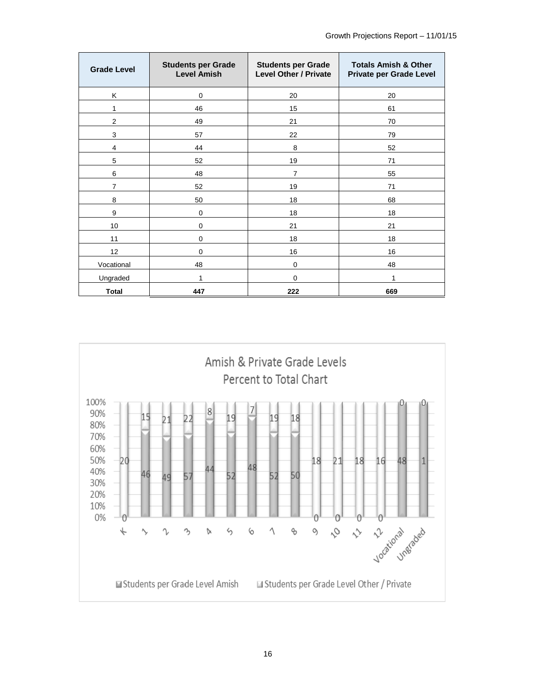| <b>Grade Level</b> | <b>Students per Grade</b><br><b>Level Amish</b> | <b>Students per Grade</b><br><b>Level Other / Private</b> | <b>Totals Amish &amp; Other</b><br><b>Private per Grade Level</b> |
|--------------------|-------------------------------------------------|-----------------------------------------------------------|-------------------------------------------------------------------|
| Κ                  | $\Omega$                                        | 20                                                        | 20                                                                |
| 1                  | 46                                              | 15                                                        | 61                                                                |
| $\overline{2}$     | 49                                              | 21                                                        | 70                                                                |
| 3                  | 57                                              | 22                                                        | 79                                                                |
| 4                  | 44                                              | 8                                                         | 52                                                                |
| 5                  | 52                                              | 19                                                        | 71                                                                |
| 6                  | 48                                              | 7                                                         | 55                                                                |
| $\overline{7}$     | 52                                              | 19                                                        | 71                                                                |
| 8                  | 50                                              | 18                                                        | 68                                                                |
| 9                  | $\mathbf 0$                                     | 18                                                        | 18                                                                |
| 10                 | $\mathbf 0$                                     | 21                                                        | 21                                                                |
| 11                 | $\mathbf 0$                                     | 18                                                        | 18                                                                |
| 12                 | $\Omega$                                        | 16                                                        | 16                                                                |
| Vocational         | 48                                              | 0                                                         | 48                                                                |
| Ungraded           | 1                                               | 0                                                         | 1                                                                 |
| Total              | 447                                             | 222                                                       | 669                                                               |

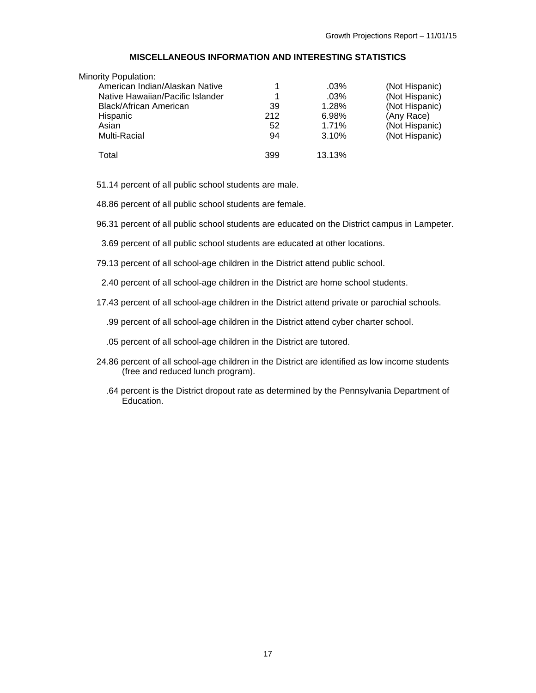### **MISCELLANEOUS INFORMATION AND INTERESTING STATISTICS**

| <b>Minority Population:</b>      |     |         |                |
|----------------------------------|-----|---------|----------------|
| American Indian/Alaskan Native   |     | .03%    | (Not Hispanic) |
| Native Hawaiian/Pacific Islander | 1   | $.03\%$ | (Not Hispanic) |
| Black/African American           | 39  | 1.28%   | (Not Hispanic) |
| Hispanic                         | 212 | 6.98%   | (Any Race)     |
| Asian                            | 52  | 1.71%   | (Not Hispanic) |
| Multi-Racial                     | 94  | 3.10%   | (Not Hispanic) |
| Total                            | 399 | 13.13%  |                |

51.14 percent of all public school students are male.

48.86 percent of all public school students are female.

96.31 percent of all public school students are educated on the District campus in Lampeter.

3.69 percent of all public school students are educated at other locations.

79.13 percent of all school-age children in the District attend public school.

2.40 percent of all school-age children in the District are home school students.

17.43 percent of all school-age children in the District attend private or parochial schools.

.99 percent of all school-age children in the District attend cyber charter school.

.05 percent of all school-age children in the District are tutored.

- 24.86 percent of all school-age children in the District are identified as low income students (free and reduced lunch program).
	- .64 percent is the District dropout rate as determined by the Pennsylvania Department of .<br>Education.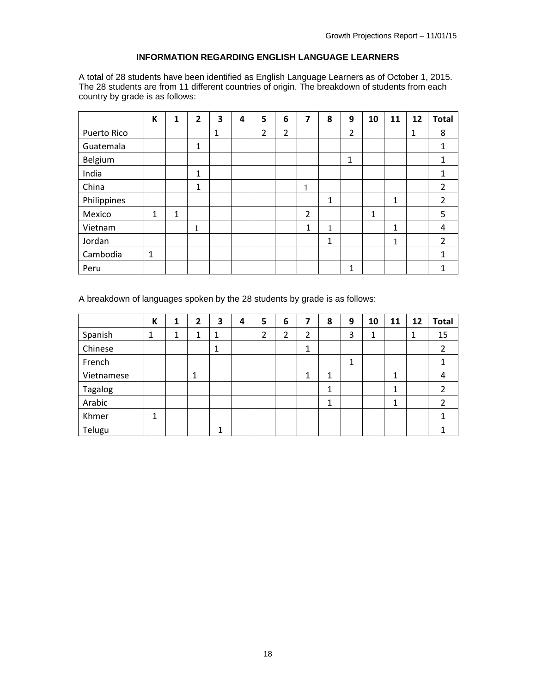### **INFORMATION REGARDING ENGLISH LANGUAGE LEARNERS**

A total of 28 students have been identified as English Language Learners as of October 1, 2015. The 28 students are from 11 different countries of origin. The breakdown of students from each country by grade is as follows:

|             | К            | 1 | $\overline{2}$ | 3 | 4 | 5 | 6 | 7 | 8 | 9 | 10 | 11 | 12 | <b>Total</b>   |
|-------------|--------------|---|----------------|---|---|---|---|---|---|---|----|----|----|----------------|
| Puerto Rico |              |   |                | 1 |   | 2 | 2 |   |   | 2 |    |    | 1  | 8              |
| Guatemala   |              |   | 1              |   |   |   |   |   |   |   |    |    |    | 1              |
| Belgium     |              |   |                |   |   |   |   |   |   | 1 |    |    |    |                |
| India       |              |   | $\mathbf{1}$   |   |   |   |   |   |   |   |    |    |    |                |
| China       |              |   | 1              |   |   |   |   | T |   |   |    |    |    | $\overline{2}$ |
| Philippines |              |   |                |   |   |   |   |   | 1 |   |    | 1  |    | 2              |
| Mexico      | 1            | 1 |                |   |   |   |   | 2 |   |   | 1  |    |    | 5              |
| Vietnam     |              |   | T              |   |   |   |   | 1 | 1 |   |    | 1  |    | 4              |
| Jordan      |              |   |                |   |   |   |   |   | 1 |   |    | 1  |    | $\overline{2}$ |
| Cambodia    | $\mathbf{1}$ |   |                |   |   |   |   |   |   |   |    |    |    | 1              |
| Peru        |              |   |                |   |   |   |   |   |   | 1 |    |    |    |                |

A breakdown of languages spoken by the 28 students by grade is as follows:

|                | K | 1 | $\mathbf{2}$ | 3 | 4 | 5 | 6 | 7 | 8 | 9 | 10 | 11 | 12 | <b>Total</b>   |
|----------------|---|---|--------------|---|---|---|---|---|---|---|----|----|----|----------------|
| Spanish        | 1 | 1 | ◢            | 1 |   | っ | ว | 2 |   | 3 | 1  |    | 1  | 15             |
| Chinese        |   |   |              | 1 |   |   |   | ┻ |   |   |    |    |    | $\overline{2}$ |
| French         |   |   |              |   |   |   |   |   |   | 1 |    |    |    |                |
| Vietnamese     |   |   |              |   |   |   |   |   | 1 |   |    | 1  |    | 4              |
| <b>Tagalog</b> |   |   |              |   |   |   |   |   | 1 |   |    | 1  |    |                |
| Arabic         |   |   |              |   |   |   |   |   | 1 |   |    | 1  |    |                |
| Khmer          | 1 |   |              |   |   |   |   |   |   |   |    |    |    |                |
| Telugu         |   |   |              | ◢ |   |   |   |   |   |   |    |    |    |                |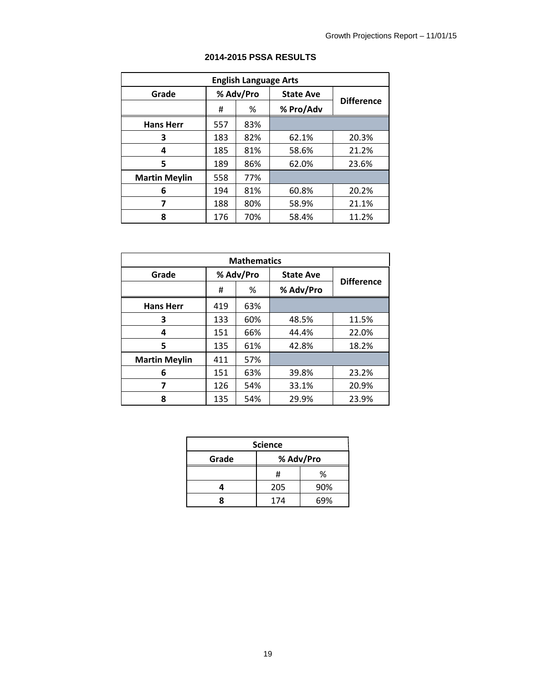|                      | <b>English Language Arts</b> |           |                  |                   |  |  |  |  |
|----------------------|------------------------------|-----------|------------------|-------------------|--|--|--|--|
| Grade                |                              | % Adv/Pro | <b>State Ave</b> |                   |  |  |  |  |
|                      | #                            | ℅         | % Pro/Adv        | <b>Difference</b> |  |  |  |  |
| <b>Hans Herr</b>     | 557                          | 83%       |                  |                   |  |  |  |  |
| 3                    | 183                          | 82%       | 62.1%            | 20.3%             |  |  |  |  |
| 4                    | 185                          | 81%       | 58.6%            | 21.2%             |  |  |  |  |
| 5                    | 189                          | 86%       | 62.0%            | 23.6%             |  |  |  |  |
| <b>Martin Meylin</b> | 558                          | 77%       |                  |                   |  |  |  |  |
| 6                    | 194                          | 81%       | 60.8%            | 20.2%             |  |  |  |  |
| 7                    | 188                          | 80%       | 58.9%            | 21.1%             |  |  |  |  |
| 8                    | 176                          | 70%       | 58.4%            | 11.2%             |  |  |  |  |

### **2014-2015 PSSA RESULTS**

| <b>Mathematics</b>   |     |           |                  |                   |  |  |  |
|----------------------|-----|-----------|------------------|-------------------|--|--|--|
| Grade                |     | % Adv/Pro | <b>State Ave</b> | <b>Difference</b> |  |  |  |
|                      | #   | %         | % Adv/Pro        |                   |  |  |  |
| <b>Hans Herr</b>     | 419 | 63%       |                  |                   |  |  |  |
| 3                    | 133 | 60%       | 48.5%            | 11.5%             |  |  |  |
| 4                    | 151 | 66%       | 44.4%            | 22.0%             |  |  |  |
| 5                    | 135 | 61%       | 42.8%            | 18.2%             |  |  |  |
| <b>Martin Meylin</b> | 411 | 57%       |                  |                   |  |  |  |
| 6                    | 151 | 63%       | 39.8%            | 23.2%             |  |  |  |
| 7                    | 126 | 54%       | 33.1%            | 20.9%             |  |  |  |
| 8                    | 135 | 54%       | 29.9%            | 23.9%             |  |  |  |

|       | <b>Science</b> |           |
|-------|----------------|-----------|
| Grade |                | % Adv/Pro |
|       | Ħ              | %         |
|       | 205            | 90%       |
|       | 174            | 69%       |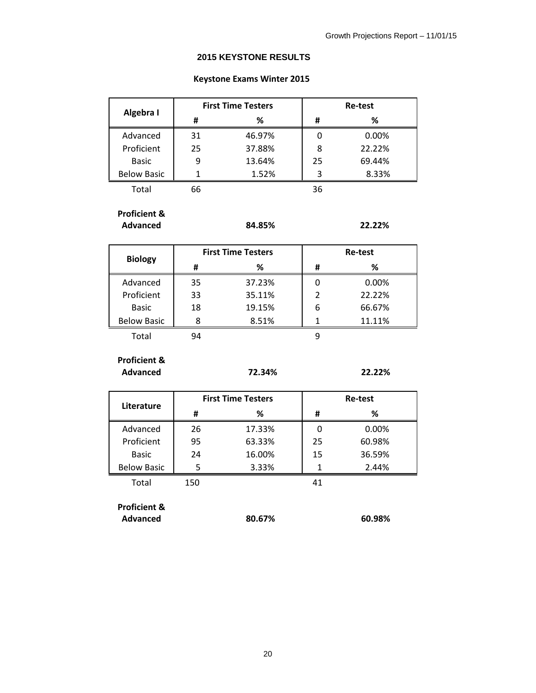### **2015 KEYSTONE RESULTS**

### **Keystone Exams Winter 2015**

|                    |    | <b>First Time Testers</b> |    | <b>Re-test</b> |  |  |  |
|--------------------|----|---------------------------|----|----------------|--|--|--|
| Algebra I          | Ħ  | ℅                         | #  | %              |  |  |  |
| Advanced           | 31 | 46.97%                    |    | 0.00%          |  |  |  |
| Proficient         | 25 | 37.88%                    | 8  | 22.22%         |  |  |  |
| <b>Basic</b>       | 9  | 13.64%                    | 25 | 69.44%         |  |  |  |
| <b>Below Basic</b> |    | 1.52%                     |    | 8.33%          |  |  |  |
| Total              | 66 |                           | 36 |                |  |  |  |

**Proficient &**

**Advanced 84.85% 22.22%**

|                    |    | <b>First Time Testers</b> |                | Re-test |  |  |  |
|--------------------|----|---------------------------|----------------|---------|--|--|--|
| <b>Biology</b>     | Ħ  | %                         | #              | ℅       |  |  |  |
| Advanced           | 35 | 37.23%                    | 0              | 0.00%   |  |  |  |
| Proficient         | 33 | 35.11%                    | $\overline{2}$ | 22.22%  |  |  |  |
| <b>Basic</b>       | 18 | 19.15%                    | 6              | 66.67%  |  |  |  |
| <b>Below Basic</b> | ጸ  | 8.51%                     |                | 11.11%  |  |  |  |
| Total              | 94 |                           |                |         |  |  |  |

**Proficient & Advanced 72.34% 22.22%**

| Literature         |        | <b>First Time Testers</b> | <b>Re-test</b> |        |  |  |
|--------------------|--------|---------------------------|----------------|--------|--|--|
|                    | %<br># |                           | #              | %      |  |  |
| Advanced           | 26     | 17.33%                    | O              | 0.00%  |  |  |
| Proficient         | 95     | 63.33%                    |                | 60.98% |  |  |
| <b>Basic</b>       | 24     | 16.00%                    | 15             | 36.59% |  |  |
| <b>Below Basic</b> | 5      | 3.33%                     |                | 2.44%  |  |  |
| Total              | 150    |                           | 41             |        |  |  |

**Proficient & Advanced 80.67% 60.98%**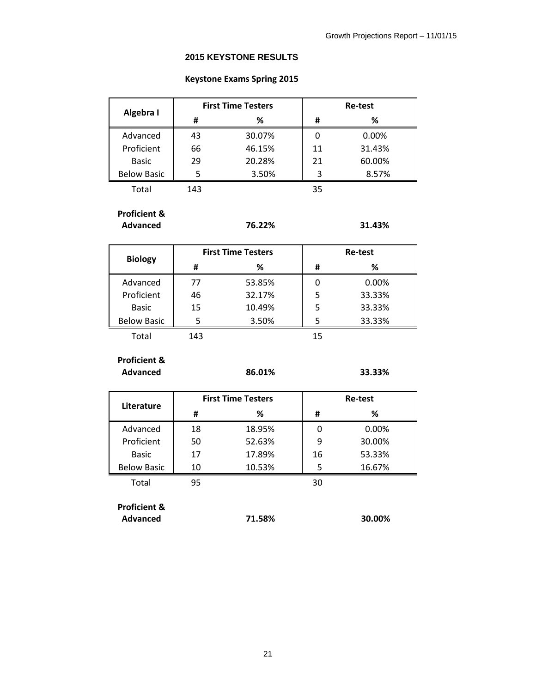### **2015 KEYSTONE RESULTS**

### **Keystone Exams Spring 2015**

| Algebra I          |     | <b>First Time Testers</b> | <b>Re-test</b> |        |  |  |
|--------------------|-----|---------------------------|----------------|--------|--|--|
|                    | #   | %                         | #              | %      |  |  |
| Advanced           | 43  | 30.07%                    | 0              | 0.00%  |  |  |
| Proficient         | 66  | 46.15%                    | 11             | 31.43% |  |  |
| <b>Basic</b>       | 29  | 20.28%                    | 21             | 60.00% |  |  |
| <b>Below Basic</b> |     | 3.50%                     |                | 8.57%  |  |  |
| Total              | 143 |                           | 35             |        |  |  |

**Proficient &**

**Advanced 76.22% 31.43%**

|                    |     | <b>First Time Testers</b> | Re-test |        |  |  |
|--------------------|-----|---------------------------|---------|--------|--|--|
| <b>Biology</b>     | Ħ   | ℅                         | #       | ℅      |  |  |
| Advanced           | 77  | 53.85%                    |         | 0.00%  |  |  |
| Proficient         | 46  | 32.17%                    | 5       | 33.33% |  |  |
| <b>Basic</b>       | 15  | 10.49%                    | 5       | 33.33% |  |  |
| <b>Below Basic</b> |     | 3.50%                     | 5       | 33.33% |  |  |
| Total              | 143 |                           | 15      |        |  |  |

**Proficient & Advanced 86.01% 33.33%**

| Literature         |    | <b>First Time Testers</b> | <b>Re-test</b> |        |  |  |
|--------------------|----|---------------------------|----------------|--------|--|--|
|                    | Ħ  | %                         | Ħ              | ℅      |  |  |
| Advanced           | 18 | 18.95%                    |                | 0.00%  |  |  |
| Proficient         | 50 | 52.63%                    | 9              | 30.00% |  |  |
| <b>Basic</b>       | 17 | 17.89%                    | 16             | 53.33% |  |  |
| <b>Below Basic</b> | 10 | 10.53%                    |                | 16.67% |  |  |
| Total              | 95 |                           | 30             |        |  |  |

**Proficient & Advanced 71.58% 30.00%**